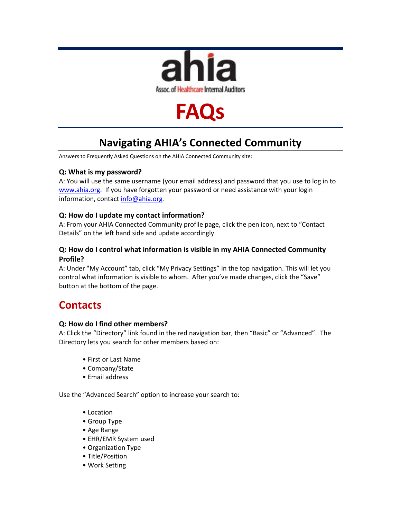

# **FAQs**

# **Navigating AHIA's Connected Community**

Answers to Frequently Asked Questions on the AHIA Connected Community site:

### **Q: What is my password?**

A: You will use the same username (your email address) and password that you use to log in to [www.ahia.org.](http://www.ahia.org/) If you have forgotten your password or need assistance with your login information, contac[t info@ahia.org](mailto:info@ahia.org).

### **Q: How do I update my contact information?**

A: From your AHIA Connected Community profile page, click the pen icon, next to "Contact Details" on the left hand side and update accordingly.

### **Q: How do I control what information is visible in my AHIA Connected Community Profile?**

A: Under "My Account" tab, click "My Privacy Settings" in the top navigation. This will let you control what information is visible to whom. After you've made changes, click the "Save" button at the bottom of the page.

### **Contacts**

### **Q: How do I find other members?**

A: Click the "Directory" link found in the red navigation bar, then "Basic" or "Advanced". The Directory lets you search for other members based on:

- First or Last Name
- Company/State
- Email address

Use the "Advanced Search" option to increase your search to:

- Location
- Group Type
- Age Range
- EHR/EMR System used
- Organization Type
- Title/Position
- Work Setting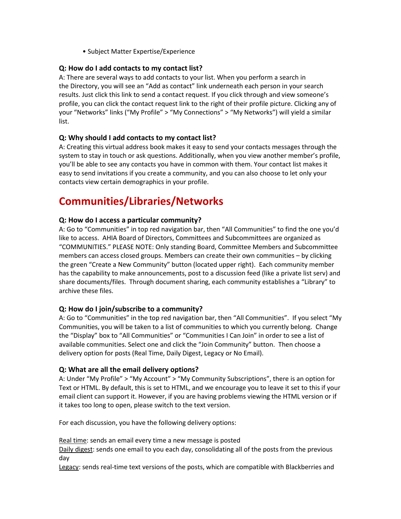• Subject Matter Expertise/Experience

### **Q: How do I add contacts to my contact list?**

A: There are several ways to add contacts to your list. When you perform a search in the Directory, you will see an "Add as contact" link underneath each person in your search results. Just click this link to send a contact request. If you click through and view someone's profile, you can click the contact request link to the right of their profile picture. Clicking any of your "Networks" links ("My Profile" > "My Connections" > "My Networks") will yield a similar list.

### **Q: Why should I add contacts to my contact list?**

A: Creating this virtual address book makes it easy to send your contacts messages through the system to stay in touch or ask questions. Additionally, when you view another member's profile, you'll be able to see any contacts you have in common with them. Your contact list makes it easy to send invitations if you create a community, and you can also choose to let only your contacts view certain demographics in your profile.

## **Communities/Libraries/Networks**

### **Q: How do I access a particular community?**

A: Go to "Communities" in top red navigation bar, then "All Communities" to find the one you'd like to access. AHIA Board of Directors, Committees and Subcommittees are organized as "COMMUNITIES." PLEASE NOTE: Only standing Board, Committee Members and Subcommittee members can access closed groups. Members can create their own communities – by clicking the green "Create a New Community" button (located upper right). Each community member has the capability to make announcements, post to a discussion feed (like a private list serv) and share documents/files. Through document sharing, each community establishes a "Library" to archive these files.

### **Q: How do I join/subscribe to a community?**

A: Go to "Communities" in the top red navigation bar, then "All Communities". If you select "My Communities, you will be taken to a list of communities to which you currently belong. Change the "Display" box to "All Communities" or "Communities I Can Join" in order to see a list of available communities. Select one and click the "Join Community" button. Then choose a delivery option for posts (Real Time, Daily Digest, Legacy or No Email).

### **Q: What are all the email delivery options?**

A: Under "My Profile" > "My Account" > "My Community Subscriptions", there is an option for Text or HTML. By default, this is set to HTML, and we encourage you to leave it set to this if your email client can support it. However, if you are having problems viewing the HTML version or if it takes too long to open, please switch to the text version.

For each discussion, you have the following delivery options:

Real time: sends an email every time a new message is posted

Daily digest: sends one email to you each day, consolidating all of the posts from the previous day

Legacy: sends real-time text versions of the posts, which are compatible with Blackberries and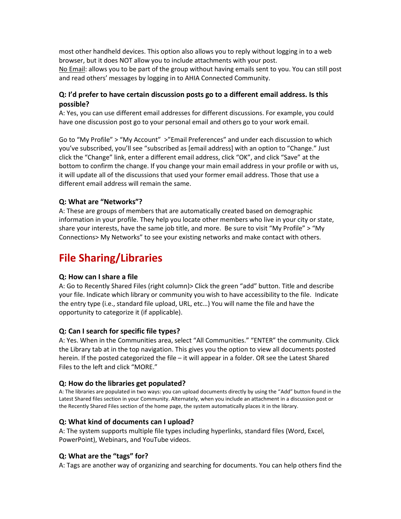most other handheld devices. This option also allows you to reply without logging in to a web browser, but it does NOT allow you to include attachments with your post.

No Email: allows you to be part of the group without having emails sent to you. You can still post and read others' messages by logging in to AHIA Connected Community.

### **Q: I'd prefer to have certain discussion posts go to a different email address. Is this possible?**

A: Yes, you can use different email addresses for different discussions. For example, you could have one discussion post go to your personal email and others go to your work email.

Go to "My Profile" > "My Account" >"Email Preferences" and under each discussion to which you've subscribed, you'll see "subscribed as [email address] with an option to "Change." Just click the "Change" link, enter a different email address, click "OK", and click "Save" at the bottom to confirm the change. If you change your main email address in your profile or with us, it will update all of the discussions that used your former email address. Those that use a different email address will remain the same.

### **Q: What are "Networks"?**

A: These are groups of members that are automatically created based on demographic information in your profile. They help you locate other members who live in your city or state, share your interests, have the same job title, and more. Be sure to visit "My Profile" > "My Connections> My Networks" to see your existing networks and make contact with others.

# **File Sharing/Libraries**

### **Q: How can I share a file**

A: Go to Recently Shared Files (right column)> Click the green "add" button. Title and describe your file. Indicate which library or community you wish to have accessibility to the file. Indicate the entry type (i.e., standard file upload, URL, etc…) You will name the file and have the opportunity to categorize it (if applicable).

### **Q: Can I search for specific file types?**

A: Yes. When in the Communities area, select "All Communities." "ENTER" the community. Click the Library tab at in the top navigation. This gives you the option to view all documents posted herein. If the posted categorized the file – it will appear in a folder. OR see the Latest Shared Files to the left and click "MORE."

### **Q: How do the libraries get populated?**

A: The libraries are populated in two ways: you can upload documents directly by using the "Add" button found in the Latest Shared files section in your Community. Alternately, when you include an attachment in a discussion post or the Recently Shared Files section of the home page, the system automatically places it in the library.

### **Q: What kind of documents can I upload?**

A: The system supports multiple file types including hyperlinks, standard files (Word, Excel, PowerPoint), Webinars, and YouTube videos.

### **Q: What are the "tags" for?**

A: Tags are another way of organizing and searching for documents. You can help others find the